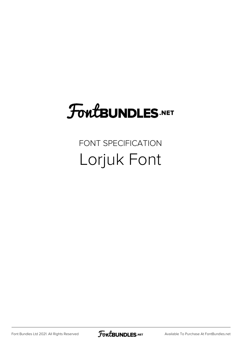# FoutBUNDLES.NET

## FONT SPECIFICATION Lorjuk Font

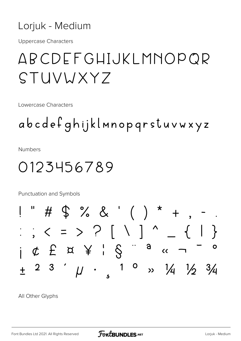#### Lorjuk - Medium

**Uppercase Characters** 

# ABCDEFGHIJKLMNOPOR STUVWXY7

Lowercase Characters

abcdefghijklmnopgrstuvwxyz

**Numbers** 

### 0123456789

Punctuation and Symbols



All Other Glyphs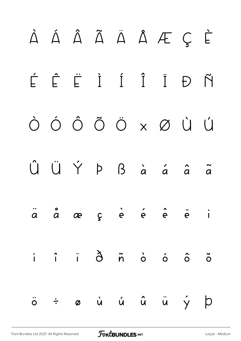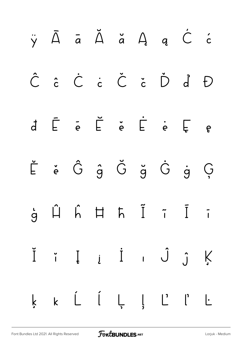|  |  |  | ÿĀāĂ㥹Ćć                                                                                                                                                                                                                                                                                                                                                                                                                                                                                             |  |
|--|--|--|-----------------------------------------------------------------------------------------------------------------------------------------------------------------------------------------------------------------------------------------------------------------------------------------------------------------------------------------------------------------------------------------------------------------------------------------------------------------------------------------------------|--|
|  |  |  | Ĉ ĉ Ĉ ċ Č č Ď ď Đ                                                                                                                                                                                                                                                                                                                                                                                                                                                                                   |  |
|  |  |  | $\begin{array}{cccccccccccccc} d & \bar{E} & \bar{e} & \bar{E} & \dot{e} & \bar{E} & \dot{e} & \bar{E} & e \end{array}$                                                                                                                                                                                                                                                                                                                                                                             |  |
|  |  |  | $\label{eq:2.1} \begin{array}{cccccccccc} \check{\mathsf{L}} & \check{\mathsf{e}} & \check{\mathsf{G}} & \hat{\mathsf{g}} & \check{\mathsf{G}} & \check{\mathsf{g}} & \check{\mathsf{G}} & \check{\mathsf{g}} & \check{\mathsf{G}} & \check{\mathsf{g}} & \check{\mathsf{G}} \end{array}$                                                                                                                                                                                                           |  |
|  |  |  | $\begin{array}{ccccccccc} \mathbf{i} & \mathbf{j} & \mathbf{k} & \mathbf{k} & \mathbf{k} & \mathbf{k} & \mathbf{k} & \mathbf{k} & \mathbf{k} & \mathbf{k} & \mathbf{k} & \mathbf{k} & \mathbf{k} & \mathbf{k} & \mathbf{k} & \mathbf{k} & \mathbf{k} & \mathbf{k} & \mathbf{k} & \mathbf{k} & \mathbf{k} & \mathbf{k} & \mathbf{k} & \mathbf{k} & \mathbf{k} & \mathbf{k} & \mathbf{k} & \mathbf{k} & \mathbf{k} & \mathbf{k} & \mathbf{k} & \mathbf{k} & \mathbf{k} & \mathbf{k} & \mathbf{k} & \$ |  |
|  |  |  | Ĭ i Į į İ i Ĵ ĵ Ķ                                                                                                                                                                                                                                                                                                                                                                                                                                                                                   |  |
|  |  |  | k k Ĺ ĺ Ļ ļ Ľ ľ Ŀ                                                                                                                                                                                                                                                                                                                                                                                                                                                                                   |  |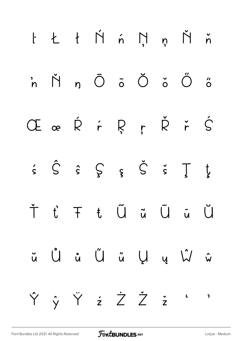|  |  |  | $l$ $t$ $t$ $\acute{\gamma}$ $\acute{\gamma}$ $\eta$ $\acute{\gamma}$ $\acute{\gamma}$ |  |
|--|--|--|----------------------------------------------------------------------------------------|--|
|  |  |  | $\dot{m}$ $\dot{M}$ $n$ $\ddot{O}$ $\ddot{o}$ $\ddot{O}$ $\ddot{o}$ $\ddot{o}$         |  |
|  |  |  | ŒœŘŕŖŗŘřŚ                                                                              |  |
|  |  |  | $\dot{s}$ $\dot{S}$ $\dot{s}$ $\int_{S}$ $\dot{s}$ $\dot{S}$ $\dot{s}$ $\int_{S}$      |  |
|  |  |  | Ť ť Ŧ ŧ Ũ ũ Ū ū Ŭ                                                                      |  |
|  |  |  | ŭ Û û Ű ű Ű ú Ų ŵ                                                                      |  |
|  |  |  | Ŷ ŷ Ÿ ż Ż Ž ž ' '                                                                      |  |